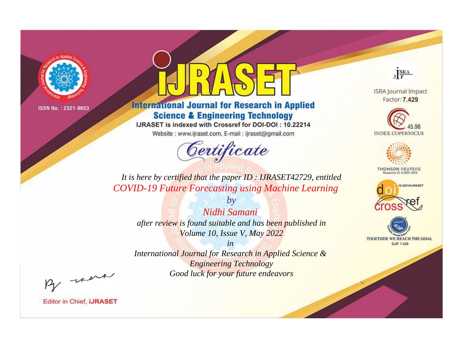

# **International Journal for Research in Applied Science & Engineering Technology**

IJRASET is indexed with Crossref for DOI-DOI: 10.22214

Website: www.ijraset.com, E-mail: ijraset@gmail.com



JERA

**ISRA Journal Impact** Factor: 7.429





**THOMSON REUTERS** 



TOGETHER WE REACH THE GOAL **SJIF 7.429** 

*It is here by certified that the paper ID : IJRASET42729, entitled COVID-19 Future Forecasting using Machine Learning*

> *Nidhi Samani after review is found suitable and has been published in Volume 10, Issue V, May 2022*

*by*

*in* 

*International Journal for Research in Applied Science & Engineering Technology Good luck for your future endeavors*

By morn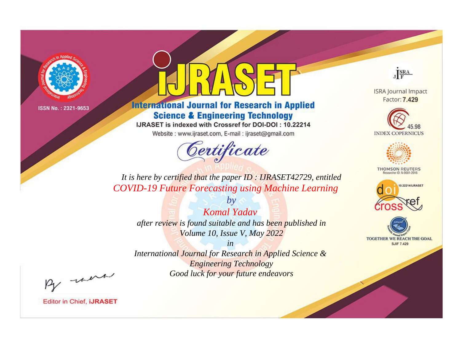

# **International Journal for Research in Applied Science & Engineering Technology**

IJRASET is indexed with Crossref for DOI-DOI: 10.22214

Website: www.ijraset.com, E-mail: ijraset@gmail.com



JERA

**ISRA Journal Impact** Factor: 7.429





**THOMSON REUTERS** 



TOGETHER WE REACH THE GOAL **SJIF 7.429** 

*It is here by certified that the paper ID : IJRASET42729, entitled COVID-19 Future Forecasting using Machine Learning*

*by Komal Yadav after review is found suitable and has been published in Volume 10, Issue V, May 2022*

*in* 

*International Journal for Research in Applied Science & Engineering Technology Good luck for your future endeavors*

By morn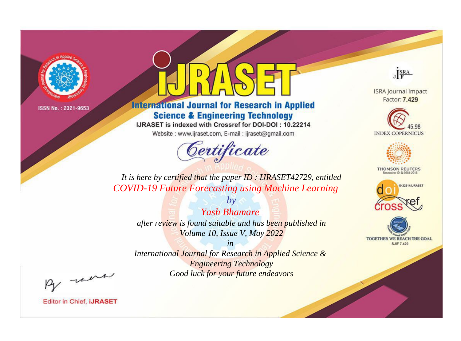

# **International Journal for Research in Applied Science & Engineering Technology**

IJRASET is indexed with Crossref for DOI-DOI: 10.22214

Website: www.ijraset.com, E-mail: ijraset@gmail.com



JERA

**ISRA Journal Impact** Factor: 7.429





**THOMSON REUTERS** 



TOGETHER WE REACH THE GOAL **SJIF 7.429** 

*It is here by certified that the paper ID : IJRASET42729, entitled COVID-19 Future Forecasting using Machine Learning*

*by Yash Bhamare after review is found suitable and has been published in Volume 10, Issue V, May 2022*

*in* 

*International Journal for Research in Applied Science & Engineering Technology Good luck for your future endeavors*

By morn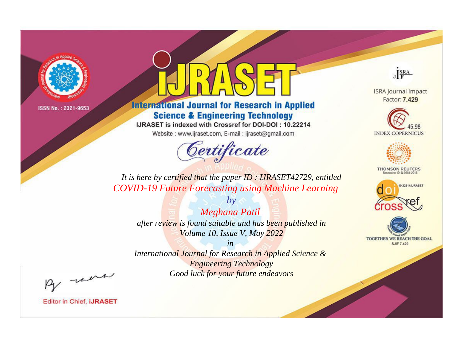

# **International Journal for Research in Applied Science & Engineering Technology**

IJRASET is indexed with Crossref for DOI-DOI: 10.22214

Website: www.ijraset.com, E-mail: ijraset@gmail.com



JERA

**ISRA Journal Impact** Factor: 7.429





**THOMSON REUTERS** 



TOGETHER WE REACH THE GOAL **SJIF 7.429** 

*It is here by certified that the paper ID : IJRASET42729, entitled COVID-19 Future Forecasting using Machine Learning*

*Meghana Patil after review is found suitable and has been published in Volume 10, Issue V, May 2022*

*by*

*in* 

*International Journal for Research in Applied Science & Engineering Technology Good luck for your future endeavors*

By morn